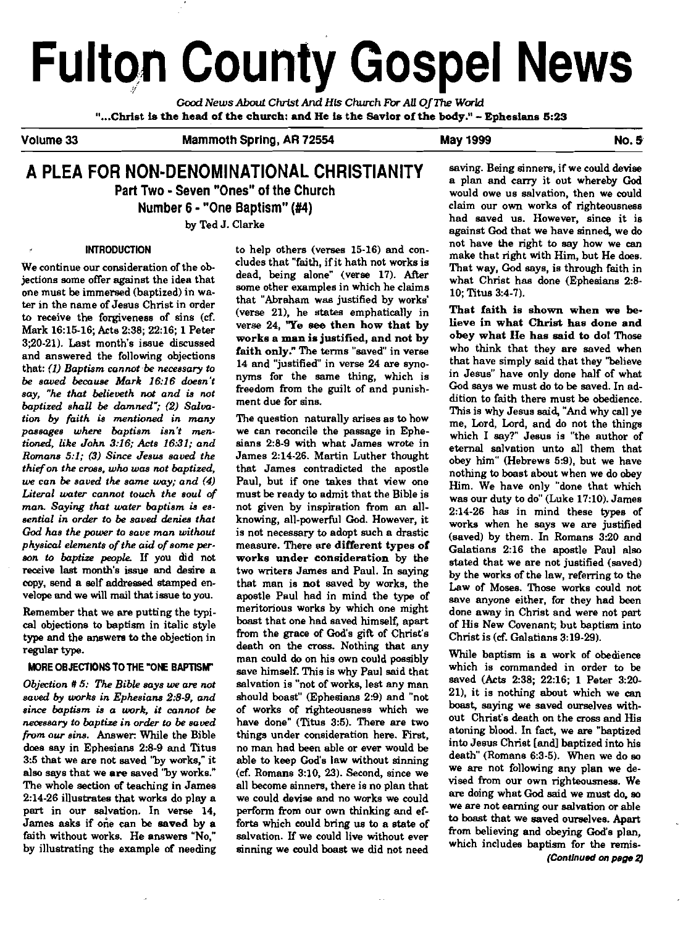# **Fulton County Gospel News**

Cccd *News About* **Christ And Hls** *Church* **Fb AU** OfIhe **Wd**  "...CMst is the head of the church: **and** He is the Savior of the **body."** - Ephesims **6:29** 

Volume 33 Mammoth **Spring, AR** 72554 May 1999 No. 5

# **A PLEA FOR NON-DENOMINATIONAL CHRISTIANITY** saving. Being sinners, if we could devise **Part Two - Seven "Ones" of the Church Number 6** - **"One Baptism"** (#4)

by Ted J. Clarke

# INTRODUCTION

We continue our consideration of the objections some offer against the idea that one must be immersed (baptized) in water in the name of Jesus Christ in order to receive the forgiveness of sins (cf. Mark 16:15-16; Acts 238; 2216; 1 Peter 3;20-21). Last month's issue discussed and answered the following objections that: (1) Baptism cannot be necessary to be saved because Mark 16:16 doesn't say, "he that believeth **not** and is not baptized shall be damned";  $(2)$  Salvation **by** faith is mentioned in many passages where baptism isn't mentioned, like John 3:16; Acts 16:31; and Romans  $5:1$ ; (3) Since Jesus saved the thief on the cross, who was not baptized, we can be saved the same way; and **(4)**  Literal water cannot touch the soul of man Saying that water baptism **is** essential in order to be saved denies that God has the power to save man without physical elements of the aid of some person to baptize people. If you did not receive last month's issue and desire a copy, send a self addressed stamped envelope and we will mail that issue to you.

Remember that we are putting the typi**cal** objections to baptism in italic style type and the answers to the objection in regular **type.** 

# MORE OBJECTIONS TO THE "ONE BAPTISM"

Objection # 5: The Bible says we are not saved **by** uarks in Ephesiane 2:s-9, and since baptism is a work, it cannot be neoessary to baptize in order to be saved from our sins. Answer: While the Bible does say in Ephesians 2:8-9 and Titus 3:5 that we are not saved '"by works," it also says that we are saved "by works." The whole section **of** teaching in James 214.26 illustrates that works do play a part in our salvation. In verse 14, James asks if orie can be saved by a faith without works. He answers "No," by illustrating the example **of** needing

to help others (verses 15-16) and concludes that "faith, ifit hath not works is dead, being alone" (verse 17). **After**  some other examples in which he claims that "Abraham waa justified by works' (verse 21), he states emphatically in verse  $24$ , "Ye see then how that by works a **man** is justified, and not by faith only." The terms "saved" in verse 14 and "justified" in verse 24 are synonyms for the same thing, which is freedom from the guilt of and punishment due for sins.

The question naturally arises as to how we can raconcile the passage in Ephesians 2:8-9 with what James wrote in James 214-26. Martin Luther thought that James contradicted the apostle Paul, but if one takes that view one must be ready to admit that the Bible is not given by inspiration from an allknowing, all-powerful Cod. However, it is not necessary to adopt such a drastic measure. There are different types of works under consideration by the two writers James and Paul. In saying that man is not saved by works, the apostle Paul had in mind the **type** of meritorious works by which one might boast that one had saved himself, apart from the grace **of** God's gift of Christ's death on the cross. Nothing that any man could do on his own could possibly save himself. This is why Paul said that salvation is "not of works, lest any man should boast" (Ephesians 2:9) and "not of works **of** righteousness which we have done" (Titus 3:5). There are two things under consideration here. **Firat,**  no man had been able or ever would be able to keep God's law without sinning (cf. Romans 3:10. **23).** Second, since we all become sinners, there is no plan that we could devise and no works we could perform from our own thinking and efforts which could bring us to a state of salvation. If we could live without ever sinning we could boast we did not need

a plan and carry it out whereby **God**  claim our om works of righteousness had saved us. However, since it is against God that we have sinned, we do not have the right to say how we **can**  make that right with Him, but He does. That way, Cod says, is through faith in what Christ has done (Ephesians 2:8-10; Titus 3:4-7).

That faith is shown when we believe in what Christ has done and obey what He has said **to** do1 Those who think that they are saved when that have simply said that they "believe in Jesus" have only done half of what Cod says we must do to be saved. In addition to faith there must be obedience. This is why Jesus said, "And why call ye me, Lord, Lord, and do not the things which I say?" Jesus is "the author of eternal salvation unto all them that obey him" (Hebrews 5:9), but we have nothing to boast about when we do obey Him. We have only "done that which was our duty to do" (Luke 17:lO). James 214-26 has in mind these types of works when he says we are justified (saved) by them. In Romans 3:20 and Galatians 2:16 the apostle Paul also stated that we are not justified (saved) by the works of the law, referring to the Law of Moses. **Those** works could not save anyone either. for they had been done away in Christ and were not part of His New Covenant; but baptism into Christ is **(cf.** Galatians 3:19-29).

While baptism is a work of obedience which is commanded in order to be saved (Acts 2:38; 22:16; 1 Peter 3:20- 21), it is nothing about which we **can boast,** saying we saved ourselves without Christ's death on the cross and His atoning blood. In fact, we **are** "baptized into Jesus Christ [andl baptized into his death" (Romans 6:3-5). When we do so we **are** not following any plan we devised from our own righteousness. We **are** doing what God said we must do, so we are not earning our salvation or able to boast that we saved ourselves. Apart from believing and obeying God's plan, which includes baptism for the remis-(Continued **on page l)**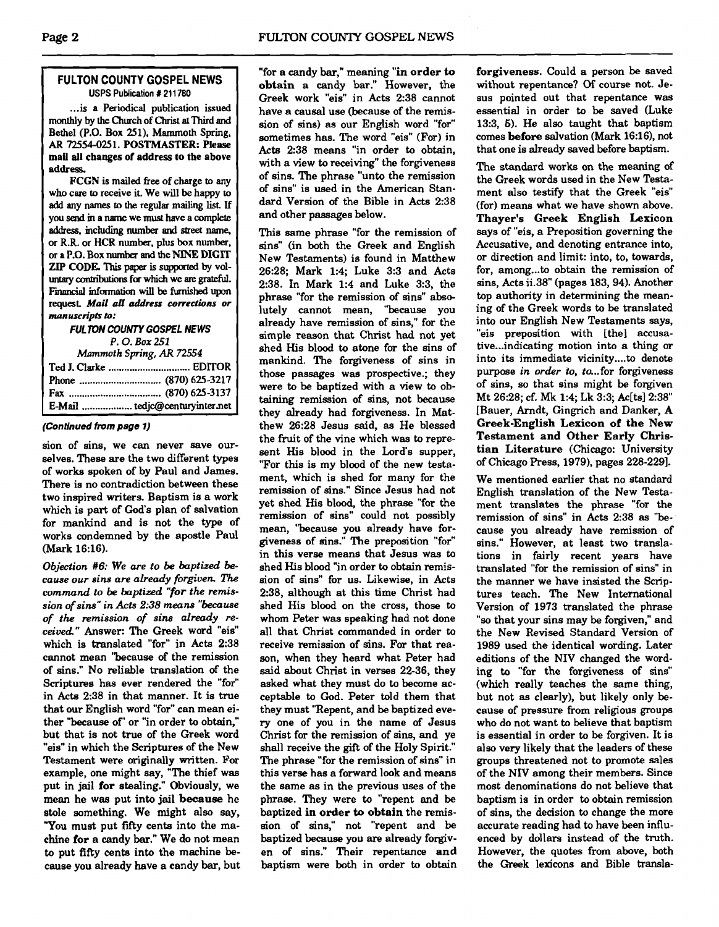# **FULTON COUNTY GOSPEL NEWS USPS Publication # 211780**

... is a Periodical publication issued monthly by the Church of Christ **at** Third and Bethel (P.O. Box 251), Mammoth Spring, **AR** 72554-025 1. POSTMASTER: Please **mail** all changes of address to the above address.

PCCN is mailed **free** of charge to any who care to receive it. We will be happy to add any **names to** the regular mailing list If you **send** m a **name** we **must** have a complete address, including number and street name, or R.R. or HCR number. plus box number, or a P.O. Box number and the **NINE** DIGIT ZIP CODE. This paper is supported by voluntary contributions for which we are grateful. Financial information will be furnished upon request Mail **all oddress corrections or manuscripb to:** 

**FULTON COUNTY GOSPEL NEWS P. 0. Box 251**  *Mammoth Spring, AR* 72554 **Ted** J. Clarke ............................... EDlTOR Phone ............................... (870) 625-3217 **Fax** ................................... (870) 625-3137 E-Mail ................... tedjc@centuryinternet

### **(Continued from page 1)**

sion of sins, we can never save ourselves. These are the two different types of works spoken of by Paul and James. There is no contradiction between these two inspired writers. Baptism is a work which is part of God's plan of salvation for mankind and is not the type of works condemned by the apostle Paul (Mark 16:16).

Objection  $#6$ : We are to be baptized because our sins are already forgiven. The command to be baptized "for the remission of sins" in Acts **2:38** means "because of the remission of sins already received" Answer: The Greek word "eis" which is translated "for" in Acts 2:38 cannot mean "because of the remission of sins." No reliable translation of the Scriptures has ever rendered the "for" in Acts 238 in that manner. It is true that our English word "for" can mean either "because of' or "in order to obtain," but that is not true of the Greek word "eis" in which the Scriptures of the New Testament were originally written. For example, one might say, "The thief was put in jail for stealing." Obviously, we mean he was put into jail because he stole something. We might also say, "You must put fifty cents into the machine for a candy bar." We do not mean to put fifty cents into the machine because you already have a candy bar, but

"for a candy bar," meaning "in order to obtain a candy bar." However, the Greek work "eis" in Acts 2:38 cannot have a causal use (because of the remission of sins) as our English word "for" sometimes has. The word "eis" (For) in Acts 2:38 means "in order to obtain, with a view to receiving" the forgiveness of sins. The phrase "unto the remission of sins" is used in the American Standard Version of the Bible in Acts 2:38 and other passages below.

This same phrase "for the remission of sins" (in both the Greek and English New Testaments) is found in Matthew 26:28; Mark 1:4; Luke 3:3 and Acts 2:38. In Mark 1:4 and Luke 3:3, the phrase "for the remission of sins" absolutely cannot mean, "because you already have remission of sins," for the simple reason that Christ had not yet shed His blood to atone for the sins of mankind. The forgiveness of sins in those passages was prospective.; they were to be baptized with a view to obtaining remission of sins, not because they already had forgiveness. In Matthew 26:28 Jesus said. as He blessed the fruit of the vine which was to represent His blood in the Lord's supper, "For this is my blood of the new testament, which is shed for many for the remission of sins." Since Jesus had not yet shed His blood, the phrase "for the remission of sins" could not possibly mean, "because you already have forgiveness of sins." The preposition "for" in this verse means that Jesus was to shed His blood "in order to obtain remission of sins" for us. Likewise, in Acts 2:38, although at this time Christ had shed His blood on the cross, those to whom Peter was speaking had not done all that Christ commanded in order to receive remission of sins. For that reason, when they heard what Peter had said about Christ in verses 22-36, they asked what they must do to become acceptable to God. Peter told them that they must "Repent, and be baptized every one of you in the name of Jesus Christ for the remission of sins, and ye shall receive the gift of the Holy Spirit." The phrase "for the remission of sins" in this verse has a forward look and means the same as in the previous uses of the phrase. They were to "repent and be baptized in order to obtain the remission of sins," not "repent and be baptized because you are already forgiven of sins." Their repentance and baptism were both in order to obtain

forgiveness. Could a person be saved without repentance? **Of** course not. Jesus pointed out that repentance was essential in order to be saved (Luke 13:3, 5). He also taught that baptism comes before salvation (Mark 16:16), not that one is already saved before baptism.

The standard works on the meaning of the Greek words used in the New Testament also testify that the Greek "eis" (for) means what we have shown above. Thayer's Greek English Lexicon says of "eis, a Preposition governing the Accusative, and denoting entrance into, or direction and limit: into, to, towards, for, among to obtain the remission of sins, Acts ii.38" (pages 183, 94). Another top authority in determining the meaning of the Greek words to be translated into our English New Testaments says, "eis preposition with [the] accusative... indicating motion into a thing or into its immediate vicinity....to denote purpose in order to, to...for forgiveness of sins, so that sins might be forgiven Mt 26:28; cf. **Mk** 1:4; Lk 3:3; Ac[ts12:38" [Bauer, Arndt, Gingrich and Danker, A Greek-English Lexicon of the New Testament and Other Early Christian Literature (Chicago: University of Chicago Press, 1979), pages 228-2291.

We mentioned earlier that no standard English translation of the New Testament translates the phrase "for the remission of sins" in Acts 2:38 as "because you already have remission of sins." However, at least two translations in fairly recent years have translated "for the remission of sins" in the manner we have insisted the Scriptures teach. The New International Version of 1973 translated the phrase "so that your sins may be forgiven," and the New Revised Standard Version of 1989 used the identical wording. Later editions of the NIV changed the wording to "for the forgiveness of sins" (which really teaches the same thing, but not as clearly), but likely only because of pressure from religious groups who do not want to believe that baptism is essential in order to be forgiven. It is also very likely that the leaders of these groups threatened not to promote sales of the **NIV** among their members. Since most denominations do not believe that baptism is in order to obtain remission of sins, the decision to change the more accurate reading had to have been influenced by dollars instead of the truth. However, the quotes from above, both the Greek lexicons and Bible transla-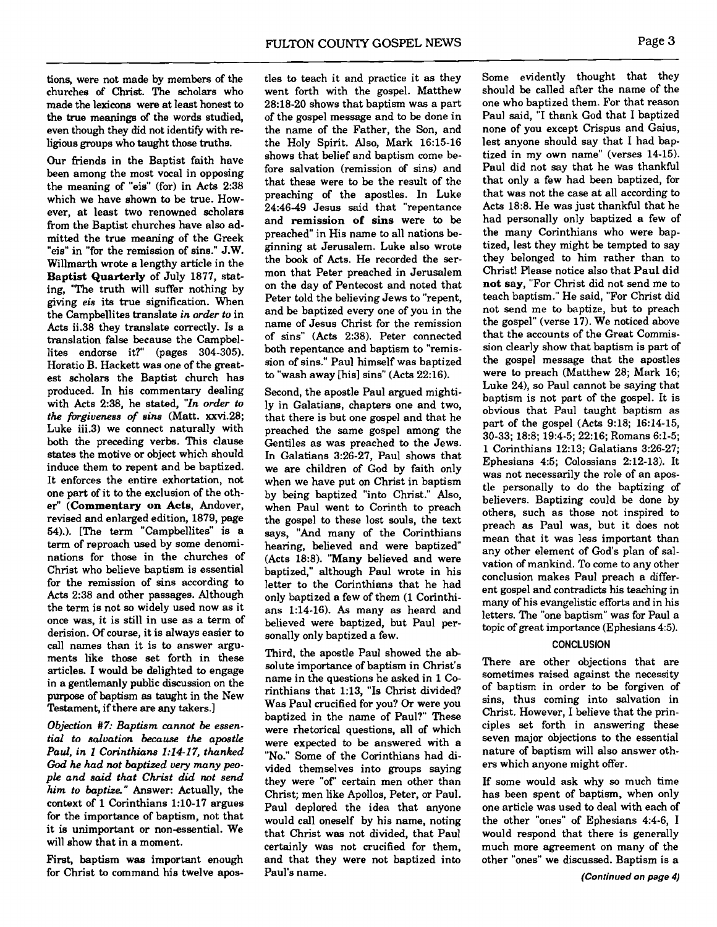tions, were not made by members of the churches of **Christ.** The scholars who made the lexicons were at least honest to the true meanings of the words studied, even though they did not identify with religious groups who taught those truths.

Our friends in the Baptist faith have been among the most vocal in opposing the meaning of "eis" (for) in Acts 2:38 which we have shown to be true. However. at least two renowned scholars from the Baptist churches have also admitted the true meaning of the Greek "eis" in "for the remission of sins." J.W. Willmarth wrote a lengthy article in the Baptist Quarterly of July 1877, stating, "The truth will suffer nothing by giving *eis* its true signification. When the Campbellites translate *in order to* in Acts ii.38 they translate correctly. Is a translation false because the Campbellites endorse it?" (pages 304-305). Horatio B. Hackett was one of the greatest scholars the Baptist church has produced. In his commentary dealing with Acts 2:38, he stated, *"In order to the forgiveness of sins* (Matt. xxvi.28; Luke iii.3) we connect naturally with both the preceding verbs. This clause states the motive or object which should induce them to repent and be baptized. It enforces the entire exhortation. not one part of it to the exclusion of the other" (Commentary on Acts, Andover, revised and enlarged edition, 1879, page 54).). [The term "Campbellites" is a term of reproach used by some denominations for those in the churches of Christ who believe baptism is essential for the remission of sins according to Acts 2:38 and other passages. Although the term is not so widely used now as it once was, it is still in use as a term of derision. Of course, it is always easier to call names than it is to answer arguments like those set forth in these articles. I would be delighted to engage in a gentlemanly public discussion on the purpose of baptism as taught in the New Testament, if there are any takers.]

*Objection* **#7:** *Baptism cannot* **be** *essential to salvation because the apostle Paul, in* **I** *Corinthiuns* **1:14-17,** *thanked God he had not baptized very many people and said that Christ did not send him to baptize"* Answer: Actually, the context of 1 Corinthians 1:lO-17 argues for the importance of baptism, not that it is unimportant or non-essential. We will show that in a moment.

First, baptism **was** important enough for Christ to command his twelve apostles to teach it and practice it as they went forth with the gospel. Matthew 28:18-20 shows that baptism was a part of the gospel message and to be done in the name of the Father, the Son, and the Holy Spirit. Also, Mark 16:15-16 shows that belief and baptism come before salvation (remission of sins) and that these were to be the result of the preaching of the apostles. In Luke 24:46-49 Jesus said that "repentance and remission of sins were to be preached" in His name to all nations beginning at Jerusalem. Luke also wrote the book of Acts. He recorded the sermon that Peter preached in Jerusalem on the day of Pentecost and noted that Peter told the believing Jews to "repent, and be baptized every one of you in the name of Jesus Christ for the remission of sins" (Acts 2:38). Peter connected both repentance and baptism to "remission of sins." Paul himself was baptized to "wash away [his] sins" (Acts 22:16).

Second, the apostle Paul argued mightily in Galatians, chapters one and two, that there is but one gospel and that he preached the same gospel among the Gentiles as was preached to the Jews. In Galatians 3:26-27, Paul shows that we are children of God by faith only when we have put on Christ in baptism by being baptized "into Christ." Also, when Paul went to Corinth to preach the gospel to these lost souls, the text says, "And many of the Corinthians hearing, believed and were baptized (Acts 18:8). "Many believed and were baptized," although Paul wrote in his letter to the Corinthians that he had only baptized a few of them (1 Corinthians 1:14-16). As many as heard and believed were baptized, but Paul personally only baptized a few.

Third, the apostle Paul showed the absolute importance of baptism in Christ's name in the questions he asked in 1 Corinthians that 1:13, "Is Christ divided? Was Paul crucified for you? **Or** were you baptized in the name of Paul?" These were rhetorical questions, all of which were expected to be answered with a "No." Some of the Corinthians had divided themselves into groups saying they were "of' certain men other than Christ; men like Apollos, Peter, or Paul. Paul deplored the idea that anyone would call oneself by his name, noting that Christ was not divided, that Paul certainly was not crucified for them, and that they were not baptized into Paul's name.

Some evidently thought that they should be called after the name of the one who baptized them. For that reason Paul said, "I thank God that I baptized none of you except Crispus and Gaius, lest anyone should say that I had baptized in my own name" (verses 14-15). Paul did not say that he was thankful that only a few had been baptized, for that was not the case at all according to Acts 18:8. He was just thankful that he had personally only baptized a few of the many Corinthians who were baptized, lest they might be tempted to say they belonged to him rather than to Christ! Please notice also that Paul did not say, "For Christ did not send me to teach baptism." He said, "For Christ did not send me to baptize, but to preach the gospel" (verse 17). We noticed above that the accounts of the Great Commission clearly show that baptism is part of the gospel message that the apostles were to preach (Matthew 28; Mark 16; Luke 24), so Paul cannot be saying that baptism is not part of the gospel. It is obvious that Paul taught baptism as part of the gospel (Acts 9:18; 16:14-15, 30-33; 18:8; 19:4-5; 22:16; Romans 6:l-5; 1 Corinthians 12:13; Galatians 3:26-27; Ephesians 4:5; Colossians 2:12-13). It was not necessarily the role of an apostle personally to do the baptizing of believers. Baptizing could be done by others, such as those not inspired to preach as Paul was, but it does not mean that it was less important than any other element of God's plan of salvation of mankind. To come to any other conclusion makes Paul preach a different gospel and contradicts his teaching in many of his evangelistic efforts and in his letters. The "one baptism" was for Paul a topic of great importance (Ephesians 4:5).

## **CONCLUSION**

There are other objections that are sometimes raised against the necessity of baptism in order to be forgiven of sins, thus coming into salvation in Christ. However, I believe that the principles set forth in answering these seven major objections to the essential nature of baptism will also answer others which anyone might offer.

If some would ask why so much time has been spent of baptism, when only one article was used to deal with each of the other "ones" of Ephesians 4:4-6, 1 would respond that there is generally much more agreement on many of the other "ones" we discussed. Baptism is a